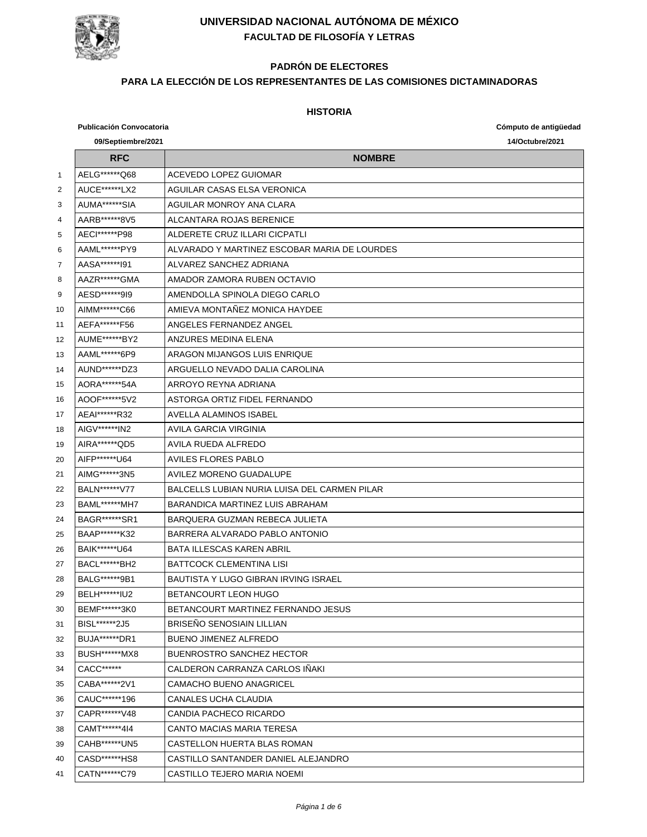

# **PADRÓN DE ELECTORES**

#### **PARA LA ELECCIÓN DE LOS REPRESENTANTES DE LAS COMISIONES DICTAMINADORAS**

|    | <b>Publicación Convocatoria</b> |                                              | Cómputo de antigüedad |
|----|---------------------------------|----------------------------------------------|-----------------------|
|    | 09/Septiembre/2021              |                                              | 14/Octubre/2021       |
|    | <b>RFC</b>                      | <b>NOMBRE</b>                                |                       |
| 1  | AELG******Q68                   | ACEVEDO LOPEZ GUIOMAR                        |                       |
| 2  | AUCE*******LX2                  | AGUILAR CASAS ELSA VERONICA                  |                       |
| 3  | AUMA******SIA                   | AGUILAR MONROY ANA CLARA                     |                       |
| 4  | AARB******8V5                   | ALCANTARA ROJAS BERENICE                     |                       |
| 5  | AECI******P98                   | ALDERETE CRUZ ILI ARI CICPATI I              |                       |
| 6  | AAML******PY9                   | ALVARADO Y MARTINEZ ESCOBAR MARIA DE LOURDES |                       |
| 7  | AASA*******191                  | ALVAREZ SANCHEZ ADRIANA                      |                       |
| 8  | AAZR ****** GMA                 | AMADOR ZAMORA RUBEN OCTAVIO                  |                       |
| 9  | AESD*******919                  | AMENDOLLA SPINOLA DIEGO CARLO                |                       |
| 10 | AIMM*******C66                  | AMIEVA MONTAÑEZ MONICA HAYDEE                |                       |
| 11 | AEFA*******F56                  | ANGELES FERNANDEZ ANGEL                      |                       |
| 12 | AUME*******BY2                  | ANZURES MEDINA FLENA                         |                       |
| 13 | AAML*******6P9                  | ARAGON MIJANGOS LUIS ENRIQUE                 |                       |
| 14 | AUND******DZ3                   | ARGUELLO NEVADO DALIA CAROLINA               |                       |
| 15 | AORA*******54A                  | ARROYO REYNA ADRIANA                         |                       |
| 16 | AOOF******5V2                   | ASTORGA ORTIZ FIDEL FERNANDO                 |                       |
| 17 | AEAI******R32                   | AVELLA ALAMINOS ISABEL                       |                       |
| 18 | AIGV******IN2                   | AVILA GARCIA VIRGINIA                        |                       |
| 19 | AIRA******QD5                   | AVILA RUEDA ALFREDO                          |                       |
| 20 | AIFP******U64                   | <b>AVILES FLORES PABLO</b>                   |                       |
| 21 | AIMG******3N5                   | AVILEZ MORENO GUADALUPE                      |                       |
| 22 | BALN******V77                   | BALCELLS LUBIAN NURIA LUISA DEL CARMEN PILAR |                       |
| 23 | <b>BAML******MH7</b>            | BARANDICA MARTINEZ LUIS ABRAHAM              |                       |
| 24 | BAGR*******SR1                  | BARQUERA GUZMAN REBECA JULIETA               |                       |
| 25 | BAAP******K32                   | BARRERA ALVARADO PABLO ANTONIO               |                       |
| 26 | BAIK*******U64                  | <b>BATA ILLESCAS KAREN ABRIL</b>             |                       |
| 27 | BACL*******BH2                  | <b>BATTCOCK CLEMENTINA LISI</b>              |                       |
| 28 | BALG*******9B1                  | BAUTISTA Y LUGO GIBRAN IRVING ISRAEL         |                       |
| 29 | BELH ****** IU2                 | BETANCOURT LEON HUGO                         |                       |
| 30 | BEMF******3K0                   | BETANCOURT MARTINEZ FERNANDO JESUS           |                       |
| 31 | BISL******2J5                   | <b>BRISENO SENOSIAIN LILLIAN</b>             |                       |
| 32 | BUJA*******DR1                  | <b>BUENO JIMENEZ ALFREDO</b>                 |                       |
| 33 | BUSH******MX8                   | <b>BUENROSTRO SANCHEZ HECTOR</b>             |                       |
| 34 | CACC*******                     | CALDERON CARRANZA CARLOS INAKI               |                       |
| 35 | CABA******2V1                   | <b>CAMACHO BUENO ANAGRICEL</b>               |                       |
| 36 | CAUC******196                   | CANALES UCHA CLAUDIA                         |                       |
| 37 | CAPR******V48                   | CANDIA PACHECO RICARDO                       |                       |
| 38 | CAMT******414                   | <b>CANTO MACIAS MARIA TERESA</b>             |                       |
| 39 | CAHB******UN5                   | CASTELLON HUERTA BLAS ROMAN                  |                       |
| 40 | CASD******HS8                   | CASTILLO SANTANDER DANIEL ALEJANDRO          |                       |
| 41 | CATN******C79                   | CASTILLO TEJERO MARIA NOEMI                  |                       |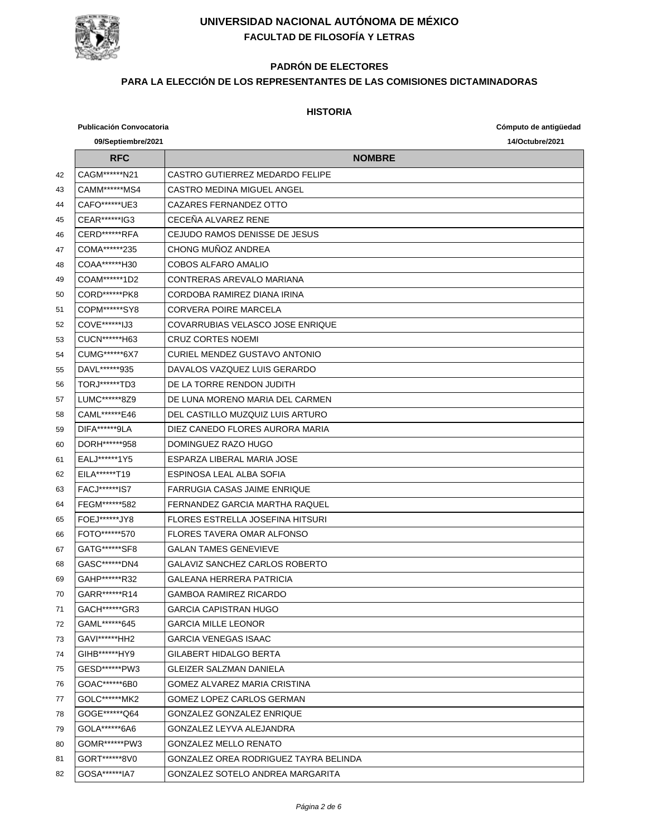

# **PADRÓN DE ELECTORES**

#### **PARA LA ELECCIÓN DE LOS REPRESENTANTES DE LAS COMISIONES DICTAMINADORAS**

|    | <b>Publicación Convocatoria</b> |                                         | Cómputo de antigüedad |
|----|---------------------------------|-----------------------------------------|-----------------------|
|    | 09/Septiembre/2021              |                                         | 14/Octubre/2021       |
|    | <b>RFC</b>                      | <b>NOMBRE</b>                           |                       |
| 42 | CAGM******N21                   | CASTRO GUTIERREZ MEDARDO FELIPE         |                       |
| 43 | CAMM******MS4                   | CASTRO MEDINA MIGUEL ANGEL              |                       |
| 44 | CAFO******UE3                   | CAZARES FERNANDEZ OTTO                  |                       |
| 45 | CEAR******IG3                   | CECEÑA ALVAREZ RENE                     |                       |
| 46 | CERD*******RFA                  | CEJUDO RAMOS DENISSE DE JESUS           |                       |
| 47 | COMA******235                   | CHONG MUÑOZ ANDREA                      |                       |
| 48 | COAA*******H30                  | <b>COBOS ALFARO AMALIO</b>              |                       |
| 49 | COAM******1D2                   | CONTRERAS AREVALO MARIANA               |                       |
| 50 | CORD******PK8                   | CORDOBA RAMIREZ DIANA IRINA             |                       |
| 51 | COPM******SY8                   | <b>CORVERA POIRE MARCELA</b>            |                       |
| 52 | COVE******IJ3                   | COVARRUBIAS VELASCO JOSE ENRIQUE        |                       |
| 53 | CUCN******H63                   | <b>CRUZ CORTES NOEMI</b>                |                       |
| 54 | CUMG******6X7                   | CURIEL MENDEZ GUSTAVO ANTONIO           |                       |
| 55 | DAVL******935                   | DAVALOS VAZQUEZ LUIS GERARDO            |                       |
| 56 | TORJ******TD3                   | DE LA TORRE RENDON JUDITH               |                       |
| 57 | LUMC******8Z9                   | DE LUNA MORENO MARIA DEL CARMEN         |                       |
| 58 | CAML*******E46                  | DEL CASTILLO MUZQUIZ LUIS ARTURO        |                       |
| 59 | DIFA*******9LA                  | DIEZ CANEDO FLORES AURORA MARIA         |                       |
| 60 | DORH ******* 958                | DOMINGUEZ RAZO HUGO                     |                       |
| 61 | EALJ******1Y5                   | ESPARZA LIBERAL MARIA JOSE              |                       |
| 62 | EILA*******T19                  | ESPINOSA LEAL ALBA SOFIA                |                       |
| 63 | <b>FACJ******IS7</b>            | <b>FARRUGIA CASAS JAIME ENRIQUE</b>     |                       |
| 64 | FEGM******582                   | <b>FERNANDEZ GARCIA MARTHA RAQUEL</b>   |                       |
| 65 | FOEJ *******JY8                 | <b>FLORES ESTRELLA JOSEFINA HITSURI</b> |                       |
| 66 | FOTO*******570                  | <b>FLORES TAVERA OMAR ALFONSO</b>       |                       |
| 67 | GATG*******SF8                  | <b>GALAN TAMES GENEVIEVE</b>            |                       |
| 68 | GASC******DN4                   | <b>GALAVIZ SANCHEZ CARLOS ROBERTO</b>   |                       |
| 69 | GAHP******R32                   | GALEANA HERRERA PATRICIA                |                       |
| 70 | GARR******R14                   | GAMBOA RAMIREZ RICARDO                  |                       |
| 71 | GACH******GR3                   | GARCIA CAPISTRAN HUGO                   |                       |
| 72 | GAML******645                   | <b>GARCIA MILLE LEONOR</b>              |                       |
| 73 | GAVI******HH2                   | <b>GARCIA VENEGAS ISAAC</b>             |                       |
| 74 | GIHB******HY9                   | GILABERT HIDALGO BERTA                  |                       |
| 75 | GESD******PW3                   | GLEIZER SALZMAN DANIELA                 |                       |
| 76 | GOAC******6B0                   | GOMEZ ALVAREZ MARIA CRISTINA            |                       |
| 77 | GOLC******MK2                   | GOMEZ LOPEZ CARLOS GERMAN               |                       |
| 78 | GOGE******Q64                   | <b>GONZALEZ GONZALEZ ENRIQUE</b>        |                       |
| 79 | GOLA******6A6                   | GONZALEZ LEYVA ALEJANDRA                |                       |
| 80 | GOMR*******PW3                  | GONZALEZ MELLO RENATO                   |                       |
| 81 | GORT******8V0                   | GONZALEZ OREA RODRIGUEZ TAYRA BELINDA   |                       |
| 82 | GOSA*******IA7                  | GONZALEZ SOTELO ANDREA MARGARITA        |                       |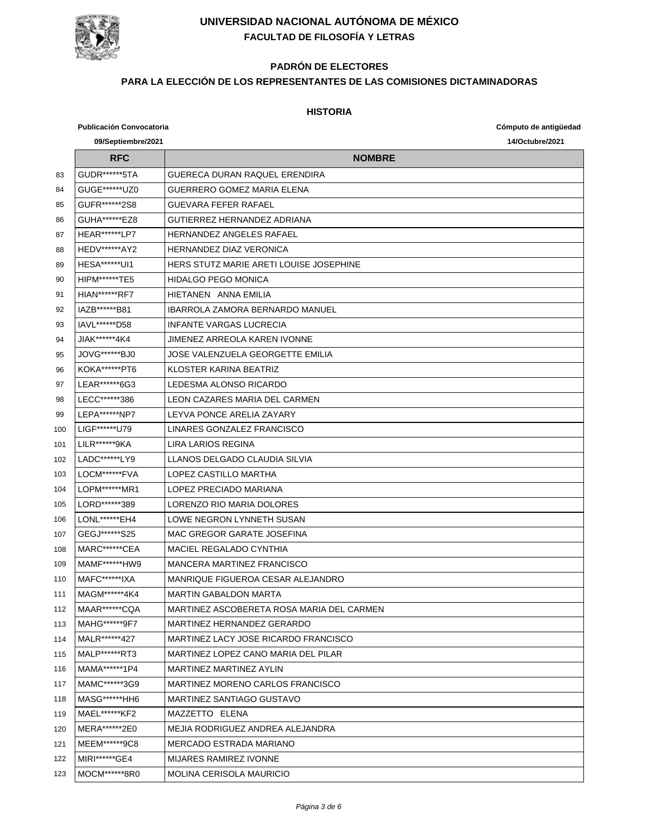

# **PADRÓN DE ELECTORES**

#### **PARA LA ELECCIÓN DE LOS REPRESENTANTES DE LAS COMISIONES DICTAMINADORAS**

|     | <b>Publicación Convocatoria</b> |                                           | Cómputo de antigüedad |
|-----|---------------------------------|-------------------------------------------|-----------------------|
|     | 09/Septiembre/2021              |                                           | 14/Octubre/2021       |
|     | <b>RFC</b>                      | <b>NOMBRE</b>                             |                       |
| 83  | GUDR*******5TA                  | GUERECA DURAN RAQUEL ERENDIRA             |                       |
| 84  | GUGE*******UZ0                  | GUERRERO GOMEZ MARIA ELENA                |                       |
| 85  | GUFR*******2S8                  | <b>GUEVARA FEFER RAFAEL</b>               |                       |
| 86  | GUHA*******EZ8                  | GUTIERREZ HERNANDEZ ADRIANA               |                       |
| 87  | <b>HEAR*******LP7</b>           | HERNANDEZ ANGELES RAFAEL                  |                       |
| 88  | <b>HEDV******AY2</b>            | <b>HERNANDEZ DIAZ VERONICA</b>            |                       |
| 89  | HESA******UI1                   | HERS STUTZ MARIE ARETI LOUISE JOSEPHINE   |                       |
| 90  | HIPM******TE5                   | <b>HIDALGO PEGO MONICA</b>                |                       |
| 91  | <b>HIAN******RF7</b>            | HIETANEN ANNA EMILIA                      |                       |
| 92  | IAZB******B81                   | <b>IBARROLA ZAMORA BERNARDO MANUEL</b>    |                       |
| 93  | IAVL******D58                   | <b>INFANTE VARGAS LUCRECIA</b>            |                       |
| 94  | JIAK******4K4                   | JIMENEZ ARREOLA KAREN IVONNE              |                       |
| 95  | JOVG******BJ0                   | JOSE VALENZUELA GEORGETTE EMILIA          |                       |
| 96  | KOKA******PT6                   | KLOSTER KARINA BEATRIZ                    |                       |
| 97  | LEAR******6G3                   | LEDESMA ALONSO RICARDO                    |                       |
| 98  | LECC*******386                  | LEON CAZARES MARIA DEL CARMEN             |                       |
| 99  | LEPA******NP7                   | LEYVA PONCE ARELIA ZAYARY                 |                       |
| 100 | LIGF*******U79                  | LINARES GONZALEZ FRANCISCO                |                       |
| 101 | LILR******9KA                   | LIRA LARIOS REGINA                        |                       |
| 102 | LADC******LY9                   | LLANOS DELGADO CLAUDIA SILVIA             |                       |
| 103 | LOCM******FVA                   | LOPEZ CASTILLO MARTHA                     |                       |
| 104 | LOPM******MR1                   | LOPEZ PRECIADO MARIANA                    |                       |
| 105 | LORD******389                   | LORENZO RIO MARIA DOLORES                 |                       |
| 106 | LONL*******EH4                  | LOWE NEGRON LYNNETH SUSAN                 |                       |
| 107 | GEGJ*******S25                  | MAC GREGOR GARATE JOSEFINA                |                       |
| 108 | MARC*******CEA                  | <b>MACIEL REGALADO CYNTHIA</b>            |                       |
| 109 | MAMF******HW9                   | <b>MANCERA MARTINEZ FRANCISCO</b>         |                       |
| 110 | MAFC*******IXA                  | MANRIQUE FIGUEROA CESAR ALEJANDRO         |                       |
| 111 | MAGM******4K4                   | MARTIN GABALDON MARTA                     |                       |
| 112 | MAAR*******CQA                  | MARTINEZ ASCOBERETA ROSA MARIA DEL CARMEN |                       |
| 113 | MAHG******9F7                   | MARTINEZ HERNANDEZ GERARDO                |                       |
| 114 | MALR******427                   | MARTINEZ LACY JOSE RICARDO FRANCISCO      |                       |
| 115 | MALP******RT3                   | MARTINEZ LOPEZ CANO MARIA DEL PILAR       |                       |
| 116 | MAMA******1P4                   | <b>MARTINEZ MARTINEZ AYLIN</b>            |                       |
| 117 | MAMC******3G9                   | MARTINEZ MORENO CARLOS FRANCISCO          |                       |
| 118 | MASG*******HH6                  | MARTINEZ SANTIAGO GUSTAVO                 |                       |
| 119 | MAEL******KF2                   | MAZZETTO ELENA                            |                       |
| 120 | MERA******2E0                   | MEJIA RODRIGUEZ ANDREA ALEJANDRA          |                       |
| 121 | MEEM******9C8                   | MERCADO ESTRADA MARIANO                   |                       |
| 122 | MIRI******GE4                   | <b>MIJARES RAMIREZ IVONNE</b>             |                       |
| 123 | MOCM******8R0                   | <b>MOLINA CERISOLA MAURICIO</b>           |                       |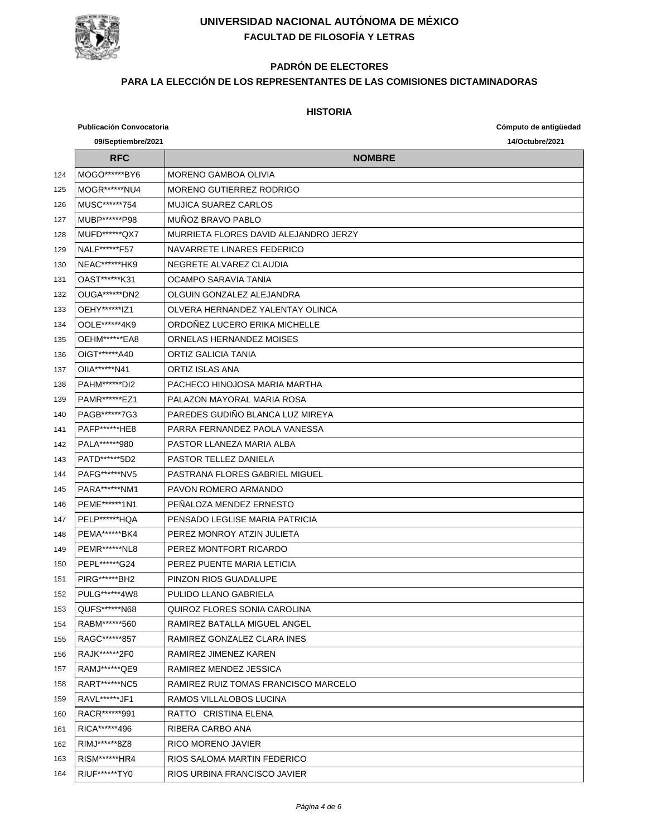

# **PADRÓN DE ELECTORES**

#### **PARA LA ELECCIÓN DE LOS REPRESENTANTES DE LAS COMISIONES DICTAMINADORAS**

|     | <b>Publicación Convocatoria</b> |                                       | Cómputo de antigüedad |
|-----|---------------------------------|---------------------------------------|-----------------------|
|     | 09/Septiembre/2021              |                                       | 14/Octubre/2021       |
|     | <b>RFC</b>                      | <b>NOMBRE</b>                         |                       |
| 124 | MOGO*******BY6                  | <b>MORENO GAMBOA OLIVIA</b>           |                       |
| 125 | MOGR******NU4                   | <b>MORENO GUTIERREZ RODRIGO</b>       |                       |
| 126 | MUSC*******754                  | <b>MUJICA SUAREZ CARLOS</b>           |                       |
| 127 | MUBP******P98                   | MUÑOZ BRAVO PABLO                     |                       |
| 128 | MUFD******QX7                   | MURRIETA FLORES DAVID ALEJANDRO JERZY |                       |
| 129 | NALF******F57                   | NAVARRETE LINARES FEDERICO            |                       |
| 130 | NEAC*******HK9                  | NEGRETE ALVAREZ CLAUDIA               |                       |
| 131 | OAST******K31                   | OCAMPO SARAVIA TANIA                  |                       |
| 132 | OUGA******DN2                   | OLGUIN GONZALEZ ALEJANDRA             |                       |
| 133 | OEHY******IZ1                   | OLVERA HERNANDEZ YALENTAY OLINCA      |                       |
| 134 | OOLE******4K9                   | ORDOÑEZ LUCERO ERIKA MICHELLE         |                       |
| 135 | OEHM******EA8                   | ORNELAS HERNANDEZ MOISES              |                       |
| 136 | OIGT******A40                   | ORTIZ GALICIA TANIA                   |                       |
| 137 | OIIA******N41                   | <b>ORTIZ ISLAS ANA</b>                |                       |
| 138 | PAHM******DI2                   | PACHECO HINOJOSA MARIA MARTHA         |                       |
| 139 | PAMR*******EZ1                  | PALAZON MAYORAL MARIA ROSA            |                       |
| 140 | PAGB*******7G3                  | PAREDES GUDIÑO BLANCA LUZ MIREYA      |                       |
| 141 | <b>PAFP******HE8</b>            | PARRA FERNANDEZ PAOLA VANESSA         |                       |
| 142 | PALA******980                   | PASTOR LLANEZA MARIA ALBA             |                       |
| 143 | PATD*******5D2                  | <b>PASTOR TELLEZ DANIELA</b>          |                       |
| 144 | PAFG******NV5                   | PASTRANA FLORES GABRIEL MIGUEL        |                       |
| 145 | PARA******NM1                   | PAVON ROMERO ARMANDO                  |                       |
| 146 | PEME******1N1                   | PEÑALOZA MENDEZ ERNESTO               |                       |
| 147 | PELP*******HQA                  | PENSADO LEGLISE MARIA PATRICIA        |                       |
| 148 | PEMA*******BK4                  | PEREZ MONROY ATZIN JULIETA            |                       |
| 149 | <b>PEMR******NL8</b>            | PEREZ MONTFORT RICARDO                |                       |
| 150 | PEPL*******G24                  | PEREZ PUENTE MARIA LETICIA            |                       |
| 151 | PIRG******BH2                   | PINZON RIOS GUADALUPE                 |                       |
| 152 | PULG******4W8                   | PULIDO LLANO GABRIELA                 |                       |
| 153 | QUFS******N68                   | QUIROZ FLORES SONIA CAROLINA          |                       |
| 154 | RABM******560                   | RAMIREZ BATALLA MIGUEL ANGEL          |                       |
| 155 | RAGC*******857                  | RAMIREZ GONZALEZ CLARA INES           |                       |
| 156 | RAJK******2F0                   | RAMIREZ JIMENEZ KAREN                 |                       |
| 157 | RAMJ******QE9                   | RAMIREZ MENDEZ JESSICA                |                       |
| 158 | RART******NC5                   | RAMIREZ RUIZ TOMAS FRANCISCO MARCELO  |                       |
| 159 | RAVL*******JF1                  | RAMOS VILLALOBOS LUCINA               |                       |
| 160 | RACR*******991                  | RATTO CRISTINA ELENA                  |                       |
| 161 | RICA******496                   | RIBERA CARBO ANA                      |                       |
| 162 | RIMJ******8Z8                   | RICO MORENO JAVIER                    |                       |
| 163 | RISM*******HR4                  | RIOS SALOMA MARTIN FEDERICO           |                       |
| 164 | RIUF*******TY0                  | RIOS URBINA FRANCISCO JAVIER          |                       |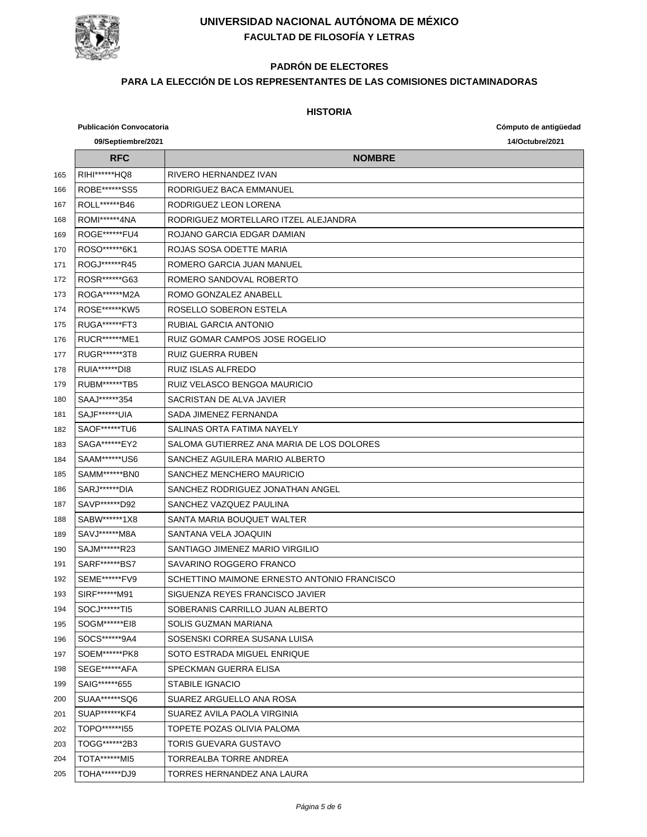

# **PADRÓN DE ELECTORES**

#### **PARA LA ELECCIÓN DE LOS REPRESENTANTES DE LAS COMISIONES DICTAMINADORAS**

|     | <b>Publicación Convocatoria</b> |                                             | Cómputo de antigüedad |
|-----|---------------------------------|---------------------------------------------|-----------------------|
|     | 09/Septiembre/2021              |                                             | 14/Octubre/2021       |
|     | <b>RFC</b>                      | <b>NOMBRE</b>                               |                       |
| 165 | RIHI******HQ8                   | RIVERO HERNANDEZ IVAN                       |                       |
| 166 | ROBE*******SS5                  | RODRIGUEZ BACA EMMANUEL                     |                       |
| 167 | ROLL*******B46                  | RODRIGUEZ LEON LORENA                       |                       |
| 168 | ROMI******4NA                   | RODRIGUEZ MORTELLARO ITZEL ALEJANDRA        |                       |
| 169 | ROGE******FU4                   | ROJANO GARCIA EDGAR DAMIAN                  |                       |
| 170 | ROSO******6K1                   | ROJAS SOSA ODETTE MARIA                     |                       |
| 171 | ROGJ*******R45                  | ROMERO GARCIA JUAN MANUEL                   |                       |
| 172 | ROSR*******G63                  | ROMERO SANDOVAL ROBERTO                     |                       |
| 173 | ROGA*******M2A                  | ROMO GONZALEZ ANABELL                       |                       |
| 174 | ROSE*******KW5                  | ROSELLO SOBERON ESTELA                      |                       |
| 175 | <b>RUGA******FT3</b>            | RUBIAL GARCIA ANTONIO                       |                       |
| 176 | RUCR******ME1                   | RUIZ GOMAR CAMPOS JOSE ROGELIO              |                       |
| 177 | RUGR*******3T8                  | <b>RUIZ GUERRA RUBEN</b>                    |                       |
| 178 | RUIA*******DI8                  | RUIZ ISLAS ALFREDO                          |                       |
| 179 | <b>RUBM******TB5</b>            | RUIZ VELASCO BENGOA MAURICIO                |                       |
| 180 | SAAJ*******354                  | SACRISTAN DE ALVA JAVIER                    |                       |
| 181 | SAJF******UIA                   | SADA JIMENEZ FERNANDA                       |                       |
| 182 | SAOF******TU6                   | SALINAS ORTA FATIMA NAYELY                  |                       |
| 183 | SAGA*******EY2                  | SALOMA GUTIERREZ ANA MARIA DE LOS DOLORES   |                       |
| 184 | SAAM*******US6                  | SANCHEZ AGUILERA MARIO ALBERTO              |                       |
| 185 | SAMM******BN0                   | SANCHEZ MENCHERO MAURICIO                   |                       |
| 186 | SARJ*******DIA                  | SANCHEZ RODRIGUEZ JONATHAN ANGEL            |                       |
| 187 | SAVP******D92                   | SANCHEZ VAZQUEZ PAULINA                     |                       |
| 188 | SABW******1X8                   | SANTA MARIA BOUQUET WALTER                  |                       |
| 189 | SAVJ******M8A                   | SANTANA VELA JOAQUIN                        |                       |
| 190 | SAJM******R23                   | SANTIAGO JIMENEZ MARIO VIRGILIO             |                       |
| 191 | SARF******BS7                   | SAVARINO ROGGERO FRANCO                     |                       |
| 192 | SEME******FV9                   | SCHETTINO MAIMONE ERNESTO ANTONIO FRANCISCO |                       |
| 193 | SIRF******M91                   | SIGUENZA REYES FRANCISCO JAVIER             |                       |
| 194 | SOCJ******TI5                   | SOBERANIS CARRILLO JUAN ALBERTO             |                       |
| 195 | SOGM*******El8                  | SOLIS GUZMAN MARIANA                        |                       |
| 196 | SOCS******9A4                   | SOSENSKI CORREA SUSANA LUISA                |                       |
| 197 | SOEM******PK8                   | SOTO ESTRADA MIGUEL ENRIQUE                 |                       |
| 198 | SEGE******AFA                   | SPECKMAN GUERRA ELISA                       |                       |
| 199 | SAIG******655                   | <b>STABILE IGNACIO</b>                      |                       |
| 200 | SUAA******SQ6                   | SUAREZ ARGUELLO ANA ROSA                    |                       |
| 201 | SUAP******KF4                   | SUAREZ AVILA PAOLA VIRGINIA                 |                       |
| 202 | TOPO*******155                  | TOPETE POZAS OLIVIA PALOMA                  |                       |
| 203 | TOGG******2B3                   | TORIS GUEVARA GUSTAVO                       |                       |
| 204 | TOTA******MI5                   | TORREALBA TORRE ANDREA                      |                       |
| 205 | TOHA******DJ9                   | TORRES HERNANDEZ ANA LAURA                  |                       |